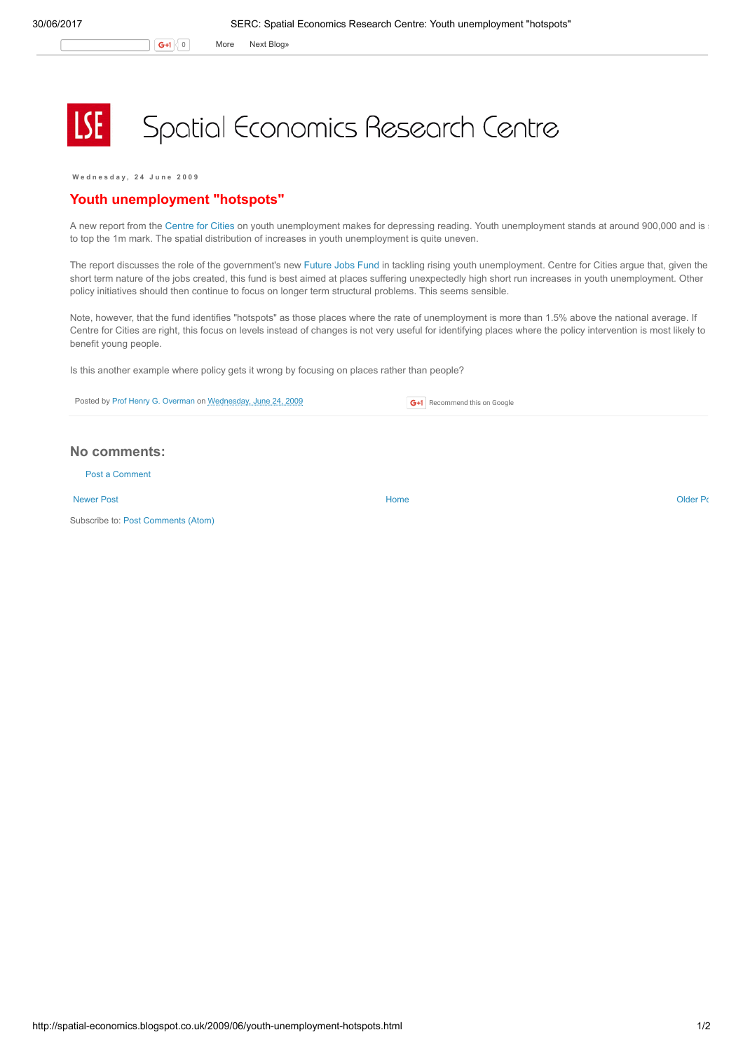G+1 0 More Next [Blog»](https://www.blogger.com/next-blog?navBar=true&blogID=974562301377041914)

## Spatial Economics Research Centre

W e d n e s d a y , 2 4 J u n e 2 0 0 9

## Youth unemployment "hotspots"

A new report from the [Centre](http://www.centreforcities.org/youthunemployment) for Cities on youth unemployment makes for depressing reading. Youth unemployment stands at around 900,000 and is to top the 1m mark. The spatial distribution of increases in youth unemployment is quite uneven.

The report discusses the role of the government's new [Future](http://www.dwp.gov.uk/campaigns/futurejobsfund/index.asp) Jobs Fund in tackling rising youth unemployment. Centre for Cities argue that, given the short term nature of the jobs created, this fund is best aimed at places suffering unexpectedly high short run increases in youth unemployment. Other policy initiatives should then continue to focus on longer term structural problems. This seems sensible.

Note, however, that the fund identifies "hotspots" as those places where the rate of unemployment is more than 1.5% above the national average. If Centre for Cities are right, this focus on levels instead of changes is not very useful for identifying places where the policy intervention is most likely to benefit young people.

Is this another example where policy gets it wrong by focusing on places rather than people?

Posted by Prof Henry G. [Overman](https://www.blogger.com/profile/15203876610491317062) on [Wednesday,](http://spatial-economics.blogspot.co.uk/2009/06/youth-unemployment-hotspots.html) June 24, 2009

## No comments:

Post a [Comment](https://www.blogger.com/comment.g?blogID=974562301377041914&postID=2674276924871553753)

[Newer](http://spatial-economics.blogspot.co.uk/2009/07/housing-numbers-numbers-numbers.html) Post **New Account Contract Account Contract Account Contract Account Contract Account Contract [Older](http://spatial-economics.blogspot.co.uk/2009/06/digital-britain.html) Post** 

Subscribe to: Post [Comments](http://spatial-economics.blogspot.com/feeds/2674276924871553753/comments/default) (Atom)

**G+1** Recommend this on Google